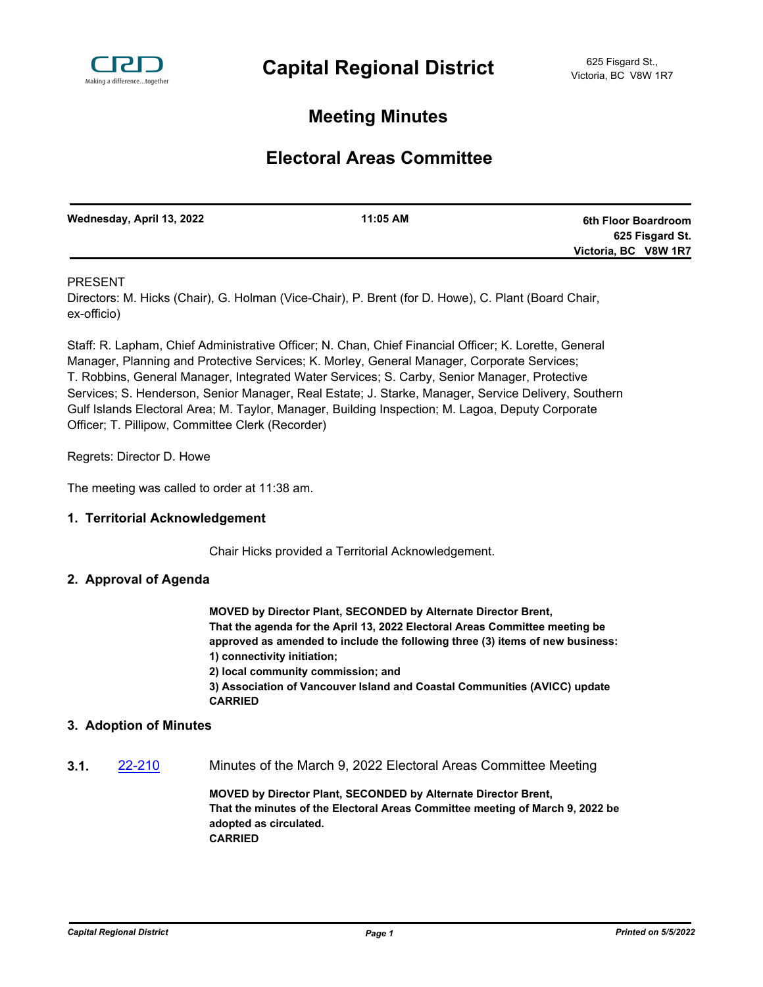

# **Meeting Minutes**

# **Electoral Areas Committee**

| Wednesday, April 13, 2022 | 11:05 AM | 6th Floor Boardroom  |
|---------------------------|----------|----------------------|
|                           |          | 625 Fisgard St.      |
|                           |          | Victoria, BC V8W 1R7 |
|                           |          |                      |

### PRESENT

Directors: M. Hicks (Chair), G. Holman (Vice-Chair), P. Brent (for D. Howe), C. Plant (Board Chair, ex-officio)

Staff: R. Lapham, Chief Administrative Officer; N. Chan, Chief Financial Officer; K. Lorette, General Manager, Planning and Protective Services; K. Morley, General Manager, Corporate Services; T. Robbins, General Manager, Integrated Water Services; S. Carby, Senior Manager, Protective Services; S. Henderson, Senior Manager, Real Estate; J. Starke, Manager, Service Delivery, Southern Gulf Islands Electoral Area; M. Taylor, Manager, Building Inspection; M. Lagoa, Deputy Corporate Officer; T. Pillipow, Committee Clerk (Recorder)

Regrets: Director D. Howe

The meeting was called to order at 11:38 am.

#### **1. Territorial Acknowledgement**

Chair Hicks provided a Territorial Acknowledgement.

#### **2. Approval of Agenda**

**MOVED by Director Plant, SECONDED by Alternate Director Brent, That the agenda for the April 13, 2022 Electoral Areas Committee meeting be approved as amended to include the following three (3) items of new business: 1) connectivity initiation;**

**2) local community commission; and**

**3) Association of Vancouver Island and Coastal Communities (AVICC) update CARRIED**

#### **3. Adoption of Minutes**

**3.1.** [22-210](http://crd.ca.legistar.com/gateway.aspx?m=l&id=/matter.aspx?key=9066) Minutes of the March 9, 2022 Electoral Areas Committee Meeting

**MOVED by Director Plant, SECONDED by Alternate Director Brent, That the minutes of the Electoral Areas Committee meeting of March 9, 2022 be adopted as circulated. CARRIED**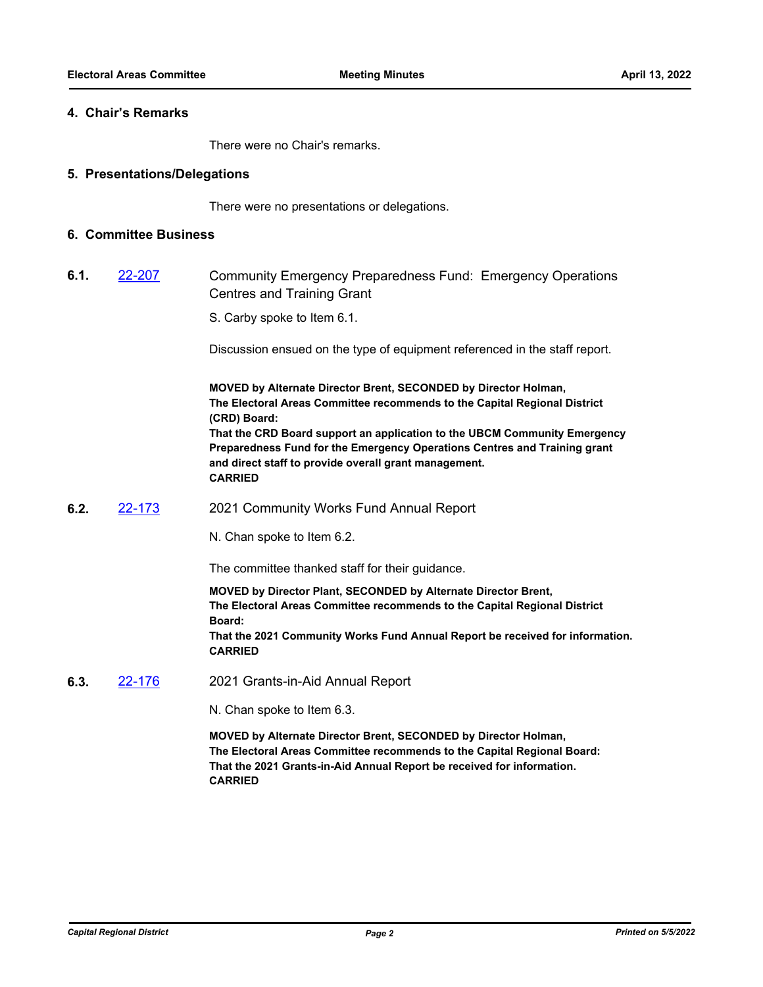#### **4. Chair's Remarks**

There were no Chair's remarks.

#### **5. Presentations/Delegations**

There were no presentations or delegations.

### **6. Committee Business**

- **6.1.** [22-207](http://crd.ca.legistar.com/gateway.aspx?m=l&id=/matter.aspx?key=9063) Community Emergency Preparedness Fund: Emergency Operations Centres and Training Grant
	- S. Carby spoke to Item 6.1.

Discussion ensued on the type of equipment referenced in the staff report.

**MOVED by Alternate Director Brent, SECONDED by Director Holman, The Electoral Areas Committee recommends to the Capital Regional District (CRD) Board: That the CRD Board support an application to the UBCM Community Emergency Preparedness Fund for the Emergency Operations Centres and Training grant and direct staff to provide overall grant management. CARRIED**

**6.2.** [22-173](http://crd.ca.legistar.com/gateway.aspx?m=l&id=/matter.aspx?key=9029) 2021 Community Works Fund Annual Report

N. Chan spoke to Item 6.2.

The committee thanked staff for their guidance.

**MOVED by Director Plant, SECONDED by Alternate Director Brent, The Electoral Areas Committee recommends to the Capital Regional District Board: That the 2021 Community Works Fund Annual Report be received for information. CARRIED**

**6.3.** [22-176](http://crd.ca.legistar.com/gateway.aspx?m=l&id=/matter.aspx?key=9032) 2021 Grants-in-Aid Annual Report

N. Chan spoke to Item 6.3.

**MOVED by Alternate Director Brent, SECONDED by Director Holman, The Electoral Areas Committee recommends to the Capital Regional Board: That the 2021 Grants-in-Aid Annual Report be received for information. CARRIED**